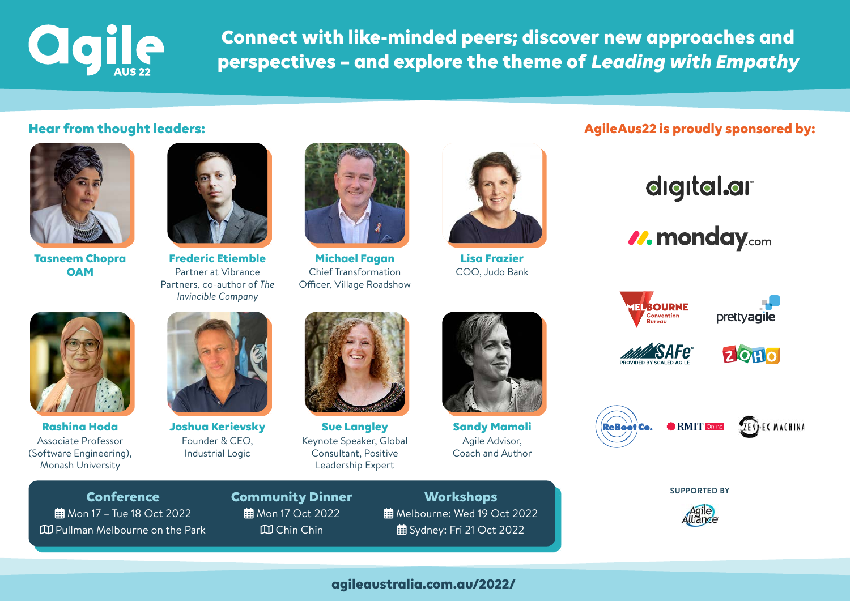

**Connect with like-minded peers; discover new approaches and perspectives – and explore the theme of Leading with Empathy**



**Tasneem Chopra OAM**



**Frederic Etiemble** Partner at Vibrance Partners, co-author of *The Invincible Company*



**Michael Fagan** Chief Transformation Officer, Village Roadshow



**Lisa Frazier** COO, Judo Bank

## **Hear from thought leaders: AgileAus22 is proudly sponsored by: AgileAus22 is proudly sponsored by:**

## digital.ar

*<i>V***. monday.com** 



**Rashina Hoda** Associate Professor (Software Engineering), Monash University



**Joshua Kerievsky** Founder & CEO, Industrial Logic



**Sue Langley** Keynote Speaker, Global Consultant, Positive Leadership Expert



**Sandy Mamoli** Agile Advisor, Coach and Author



**TELBOURNE** 



prettvagile







**SUPPORTED BY**

**Conference 曲** Mon 17 – Tue 18 Oct 2022 Pullman Melbourne on the Park **Community Dinner 曲** Mon 17 Oct 2022 Chin Chin

**Workshops 曲** Melbourne: Wed 19 Oct 2022 **曲** Sydney: Fri 21 Oct 2022